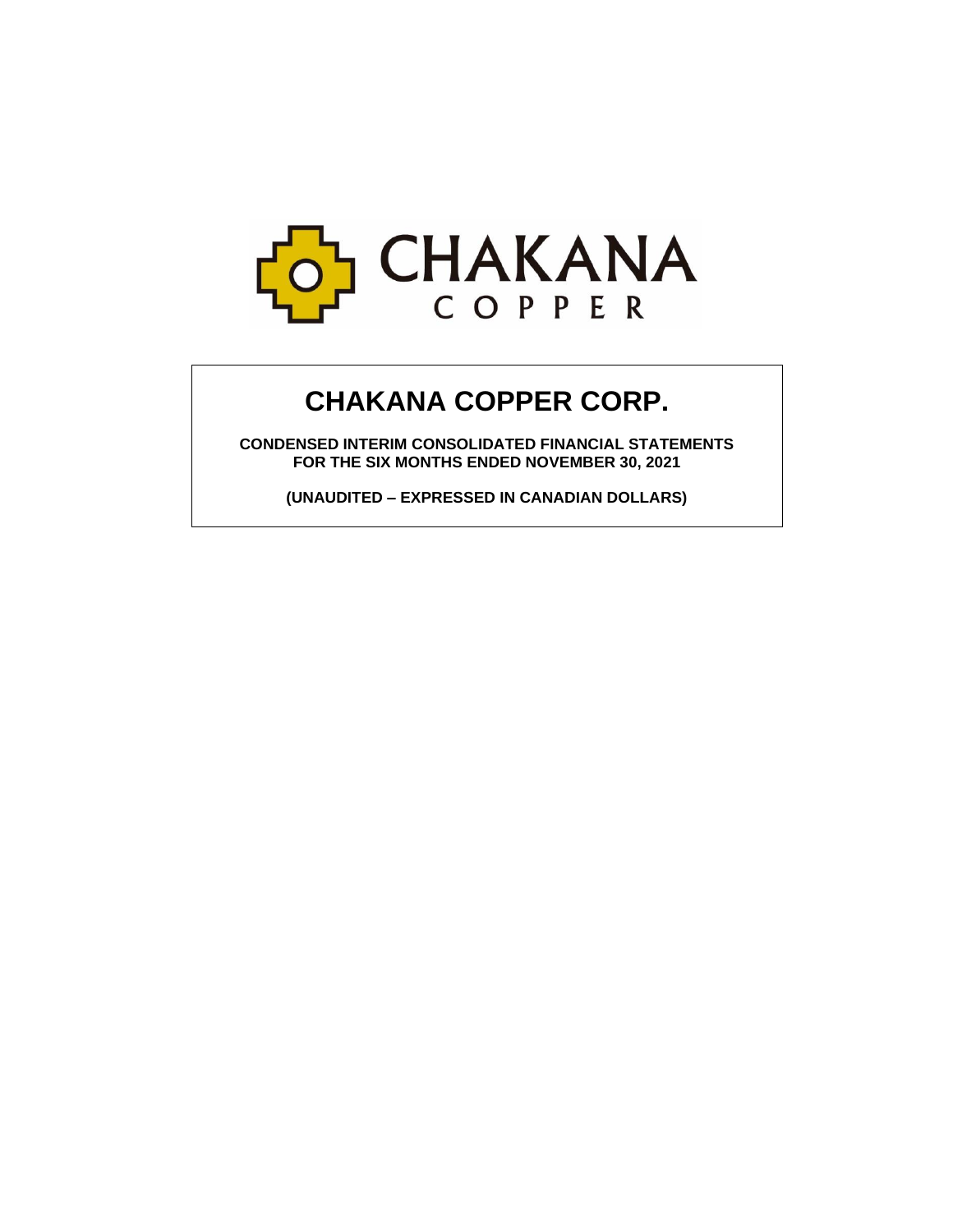

# **CHAKANA COPPER CORP.**

**CONDENSED INTERIM CONSOLIDATED FINANCIAL STATEMENTS FOR THE SIX MONTHS ENDED NOVEMBER 30, 2021**

**(UNAUDITED – EXPRESSED IN CANADIAN DOLLARS)**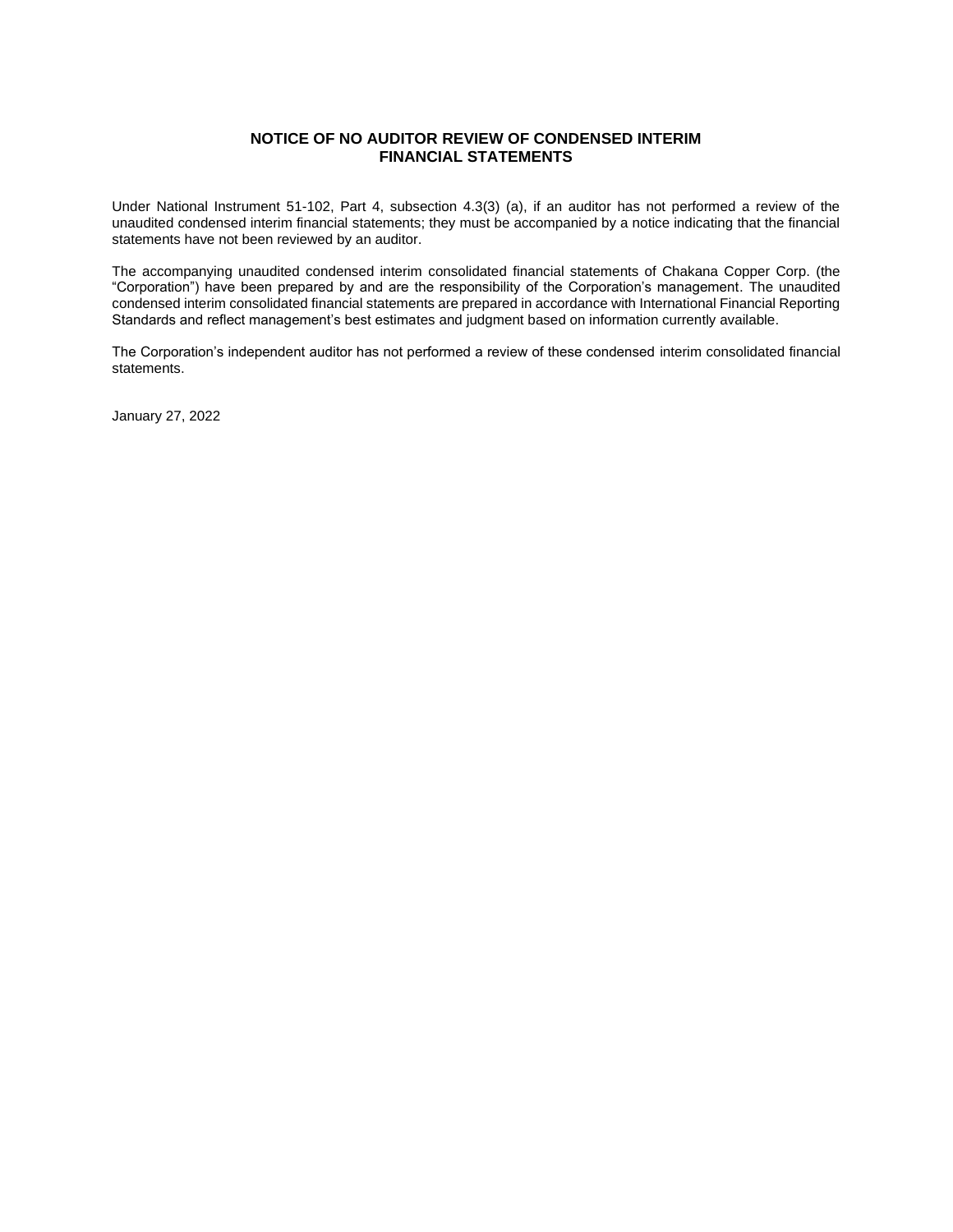# **NOTICE OF NO AUDITOR REVIEW OF CONDENSED INTERIM FINANCIAL STATEMENTS**

Under National Instrument 51-102, Part 4, subsection 4.3(3) (a), if an auditor has not performed a review of the unaudited condensed interim financial statements; they must be accompanied by a notice indicating that the financial statements have not been reviewed by an auditor.

The accompanying unaudited condensed interim consolidated financial statements of Chakana Copper Corp. (the "Corporation") have been prepared by and are the responsibility of the Corporation's management. The unaudited condensed interim consolidated financial statements are prepared in accordance with International Financial Reporting Standards and reflect management's best estimates and judgment based on information currently available.

The Corporation's independent auditor has not performed a review of these condensed interim consolidated financial statements.

January 27, 2022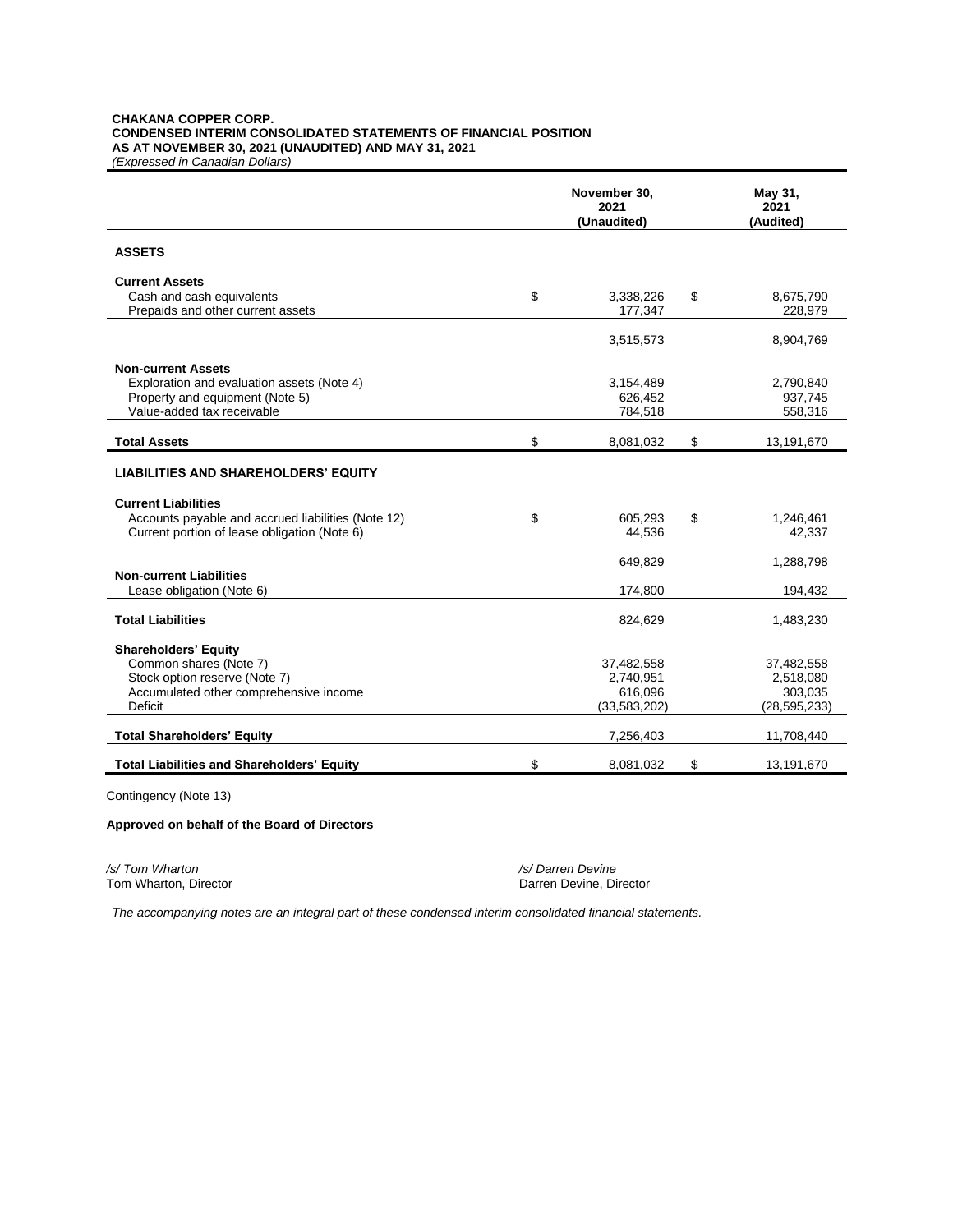#### **CHAKANA COPPER CORP. CONDENSED INTERIM CONSOLIDATED STATEMENTS OF FINANCIAL POSITION AS AT NOVEMBER 30, 2021 (UNAUDITED) AND MAY 31, 2021** *(Expressed in Canadian Dollars)*

**November 30, 2021 (Unaudited) May 31, 2021 (Audited) ASSETS Current Assets** Cash and cash equivalents **being the cash of the Cash and cash equivalents being the cash of the cash of the cash of the cash of the cash of the cash of the cash of the cash of the cash of the cash of the cash of the cas** Prepaids and other current assets 177,347 228,979 3,515,573 8,904,769 **Non-current Assets** Exploration and evaluation assets (Note 4)  $3,154,489$   $2,790,840$ <br>Property and equipment (Note 5)  $626,452$  937,745 Property and equipment (Note 5) and the set of the set of the set of the set of the set of the set of the set of the set of the set of the set of the set of the set of the set of the set of the set of the set of the set of Value-added tax receivable **Total Assets** \$ 8,081,032 \$ 13,191,670 **LIABILITIES AND SHAREHOLDERS' EQUITY Current Liabilities** Accounts payable and accrued liabilities (Note 12)  $\qquad \qquad$  \$ 605,293 \$ 1,246,461 Current portion of lease obligation (Note 6) 42,337 44,536 42,337 649,829 1,288,798 **Non-current Liabilities** Lease obligation (Note 6) 194,432 **Total Liabilities** 1,483,230 **Shareholders' Equity** Common shares (Note 7) 37,482,558 37,482,558 Stock option reserve (Note 7) 2,740,951 2,518,080 Accumulated other comprehensive income 616,096 616,096 303,035<br>Deficit (33,583,202) (28,595,233) Deficit (33,583,202) (28,595,233) **Total Shareholders' Equity** 7,256,403 11,708,440 **Total Liabilities and Shareholders' Equity** \$ 8,081,032 \$ 13,191,670

Contingency (Note 13)

#### **Approved on behalf of the Board of Directors**

*/s/ Tom Wharton /s/ Darren Devine*

Darren Devine, Director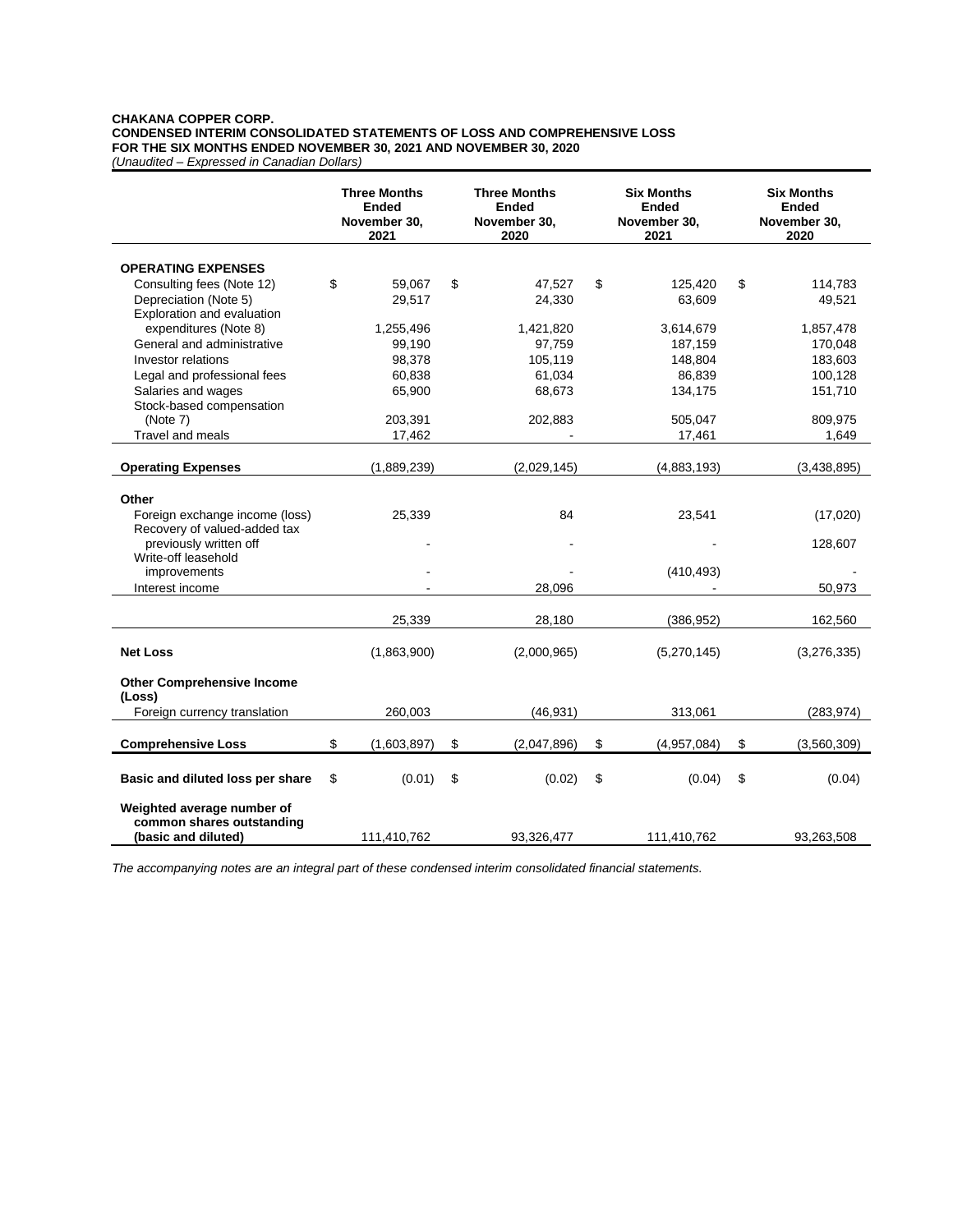# **CHAKANA COPPER CORP. CONDENSED INTERIM CONSOLIDATED STATEMENTS OF LOSS AND COMPREHENSIVE LOSS FOR THE SIX MONTHS ENDED NOVEMBER 30, 2021 AND NOVEMBER 30, 2020**

*(Unaudited – Expressed in Canadian Dollars)*

|                                                    | <b>Three Months</b><br><b>Ended</b><br>November 30,<br>2021 | <b>Three Months</b><br><b>Ended</b><br>November 30,<br>2020 |                  |    |             |                   |  |  |  |  |  | <b>Six Months</b><br><b>Ended</b><br>November 30,<br>2021 |  |  |  |  |  |  |  | <b>Six Months</b><br><b>Ended</b><br>November 30,<br>2020 |  |
|----------------------------------------------------|-------------------------------------------------------------|-------------------------------------------------------------|------------------|----|-------------|-------------------|--|--|--|--|--|-----------------------------------------------------------|--|--|--|--|--|--|--|-----------------------------------------------------------|--|
|                                                    |                                                             |                                                             |                  |    |             |                   |  |  |  |  |  |                                                           |  |  |  |  |  |  |  |                                                           |  |
| <b>OPERATING EXPENSES</b>                          | \$                                                          |                                                             |                  |    |             |                   |  |  |  |  |  |                                                           |  |  |  |  |  |  |  |                                                           |  |
| Consulting fees (Note 12)<br>Depreciation (Note 5) | 59,067<br>29,517                                            | \$                                                          | 47,527<br>24,330 | \$ | 125,420     | \$<br>114,783     |  |  |  |  |  |                                                           |  |  |  |  |  |  |  |                                                           |  |
| Exploration and evaluation                         |                                                             |                                                             |                  |    | 63,609      | 49,521            |  |  |  |  |  |                                                           |  |  |  |  |  |  |  |                                                           |  |
| expenditures (Note 8)                              | 1,255,496                                                   |                                                             | 1,421,820        |    | 3,614,679   | 1,857,478         |  |  |  |  |  |                                                           |  |  |  |  |  |  |  |                                                           |  |
| General and administrative                         | 99,190                                                      |                                                             | 97,759           |    | 187,159     | 170,048           |  |  |  |  |  |                                                           |  |  |  |  |  |  |  |                                                           |  |
| Investor relations                                 | 98,378                                                      |                                                             | 105,119          |    | 148,804     | 183,603           |  |  |  |  |  |                                                           |  |  |  |  |  |  |  |                                                           |  |
|                                                    | 60,838                                                      |                                                             | 61,034           |    | 86,839      | 100,128           |  |  |  |  |  |                                                           |  |  |  |  |  |  |  |                                                           |  |
| Legal and professional fees                        |                                                             |                                                             |                  |    |             |                   |  |  |  |  |  |                                                           |  |  |  |  |  |  |  |                                                           |  |
| Salaries and wages                                 | 65,900                                                      |                                                             | 68,673           |    | 134,175     | 151,710           |  |  |  |  |  |                                                           |  |  |  |  |  |  |  |                                                           |  |
| Stock-based compensation<br>(Note 7)               | 203,391                                                     |                                                             | 202,883          |    | 505,047     | 809,975           |  |  |  |  |  |                                                           |  |  |  |  |  |  |  |                                                           |  |
| Travel and meals                                   | 17,462                                                      |                                                             |                  |    | 17,461      | 1,649             |  |  |  |  |  |                                                           |  |  |  |  |  |  |  |                                                           |  |
|                                                    |                                                             |                                                             |                  |    |             |                   |  |  |  |  |  |                                                           |  |  |  |  |  |  |  |                                                           |  |
| <b>Operating Expenses</b>                          | (1,889,239)                                                 |                                                             | (2,029,145)      |    | (4,883,193) | (3,438,895)       |  |  |  |  |  |                                                           |  |  |  |  |  |  |  |                                                           |  |
|                                                    |                                                             |                                                             |                  |    |             |                   |  |  |  |  |  |                                                           |  |  |  |  |  |  |  |                                                           |  |
| Other                                              |                                                             |                                                             |                  |    |             |                   |  |  |  |  |  |                                                           |  |  |  |  |  |  |  |                                                           |  |
| Foreign exchange income (loss)                     | 25,339                                                      |                                                             | 84               |    | 23,541      | (17,020)          |  |  |  |  |  |                                                           |  |  |  |  |  |  |  |                                                           |  |
| Recovery of valued-added tax                       |                                                             |                                                             |                  |    |             |                   |  |  |  |  |  |                                                           |  |  |  |  |  |  |  |                                                           |  |
| previously written off                             |                                                             |                                                             |                  |    |             | 128,607           |  |  |  |  |  |                                                           |  |  |  |  |  |  |  |                                                           |  |
| Write-off leasehold                                |                                                             |                                                             |                  |    |             |                   |  |  |  |  |  |                                                           |  |  |  |  |  |  |  |                                                           |  |
| improvements                                       |                                                             |                                                             |                  |    | (410, 493)  |                   |  |  |  |  |  |                                                           |  |  |  |  |  |  |  |                                                           |  |
| Interest income                                    |                                                             |                                                             | 28,096           |    |             | 50,973            |  |  |  |  |  |                                                           |  |  |  |  |  |  |  |                                                           |  |
|                                                    |                                                             |                                                             |                  |    |             |                   |  |  |  |  |  |                                                           |  |  |  |  |  |  |  |                                                           |  |
|                                                    | 25,339                                                      |                                                             | 28,180           |    | (386, 952)  | 162,560           |  |  |  |  |  |                                                           |  |  |  |  |  |  |  |                                                           |  |
|                                                    |                                                             |                                                             |                  |    |             |                   |  |  |  |  |  |                                                           |  |  |  |  |  |  |  |                                                           |  |
| <b>Net Loss</b>                                    | (1,863,900)                                                 |                                                             | (2,000,965)      |    | (5,270,145) | (3,276,335)       |  |  |  |  |  |                                                           |  |  |  |  |  |  |  |                                                           |  |
| <b>Other Comprehensive Income</b>                  |                                                             |                                                             |                  |    |             |                   |  |  |  |  |  |                                                           |  |  |  |  |  |  |  |                                                           |  |
| (Loss)                                             |                                                             |                                                             |                  |    |             |                   |  |  |  |  |  |                                                           |  |  |  |  |  |  |  |                                                           |  |
| Foreign currency translation                       | 260,003                                                     |                                                             | (46, 931)        |    | 313,061     | (283, 974)        |  |  |  |  |  |                                                           |  |  |  |  |  |  |  |                                                           |  |
|                                                    |                                                             |                                                             |                  |    |             |                   |  |  |  |  |  |                                                           |  |  |  |  |  |  |  |                                                           |  |
| <b>Comprehensive Loss</b>                          | \$<br>(1,603,897)                                           | \$                                                          | (2,047,896)      | \$ | (4,957,084) | \$<br>(3,560,309) |  |  |  |  |  |                                                           |  |  |  |  |  |  |  |                                                           |  |
|                                                    |                                                             |                                                             |                  |    |             |                   |  |  |  |  |  |                                                           |  |  |  |  |  |  |  |                                                           |  |
| Basic and diluted loss per share                   | \$<br>(0.01)                                                | \$                                                          | (0.02)           | \$ | (0.04)      | \$<br>(0.04)      |  |  |  |  |  |                                                           |  |  |  |  |  |  |  |                                                           |  |
| Weighted average number of                         |                                                             |                                                             |                  |    |             |                   |  |  |  |  |  |                                                           |  |  |  |  |  |  |  |                                                           |  |
| common shares outstanding                          |                                                             |                                                             |                  |    |             |                   |  |  |  |  |  |                                                           |  |  |  |  |  |  |  |                                                           |  |
| (basic and diluted)                                | 111,410,762                                                 |                                                             | 93,326,477       |    | 111,410,762 | 93,263,508        |  |  |  |  |  |                                                           |  |  |  |  |  |  |  |                                                           |  |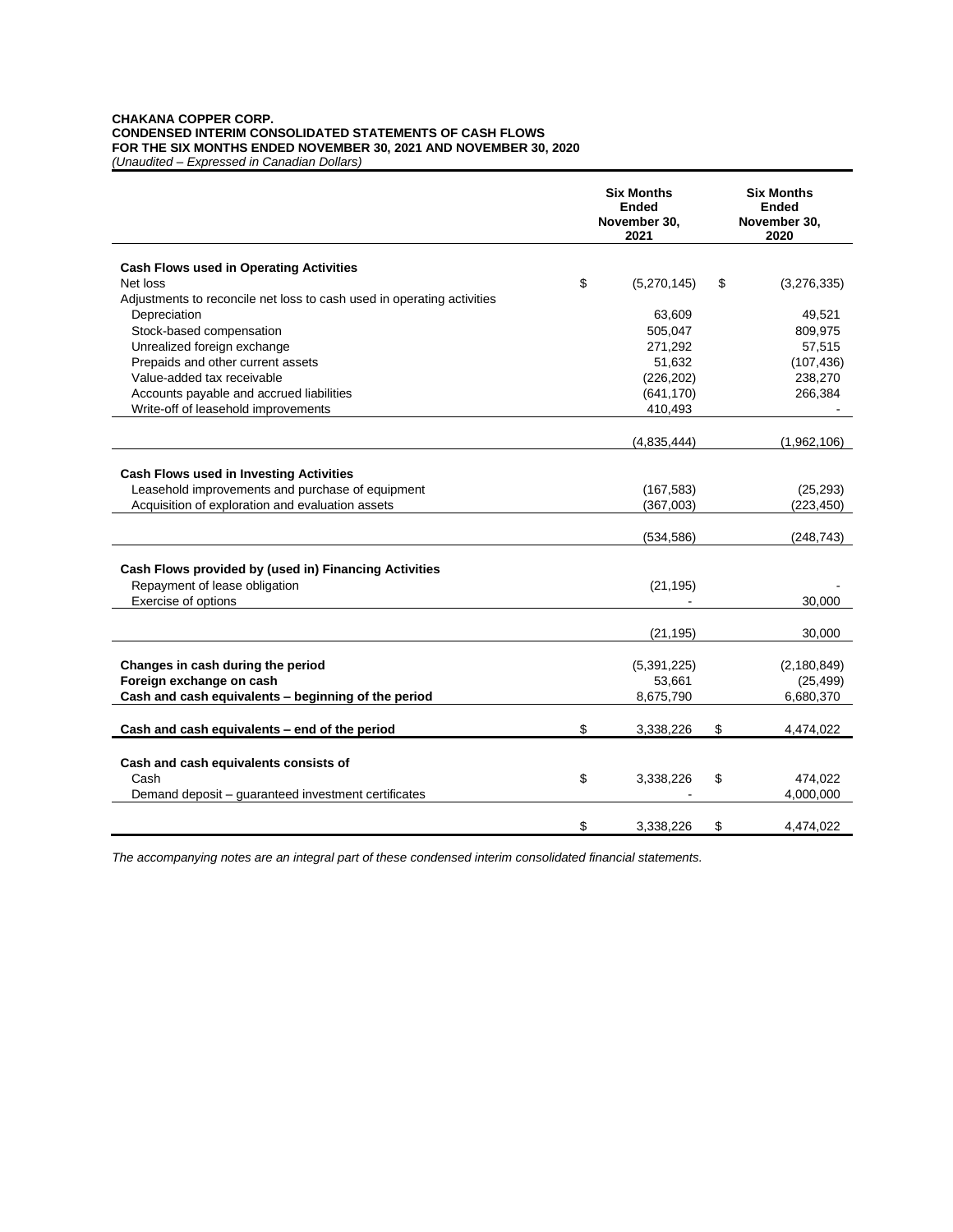#### **CHAKANA COPPER CORP. CONDENSED INTERIM CONSOLIDATED STATEMENTS OF CASH FLOWS FOR THE SIX MONTHS ENDED NOVEMBER 30, 2021 AND NOVEMBER 30, 2020** *(Unaudited – Expressed in Canadian Dollars)*

|                                                                        | <b>Six Months</b><br><b>Ended</b><br>November 30,<br>2021 | <b>Six Months</b><br><b>Ended</b><br>November 30,<br>2020 |
|------------------------------------------------------------------------|-----------------------------------------------------------|-----------------------------------------------------------|
|                                                                        |                                                           |                                                           |
| <b>Cash Flows used in Operating Activities</b>                         |                                                           |                                                           |
| Net loss                                                               | \$<br>(5,270,145)                                         | \$<br>(3,276,335)                                         |
| Adjustments to reconcile net loss to cash used in operating activities |                                                           |                                                           |
| Depreciation                                                           | 63,609                                                    | 49,521                                                    |
| Stock-based compensation                                               | 505,047                                                   | 809,975                                                   |
| Unrealized foreign exchange                                            | 271,292                                                   | 57,515                                                    |
| Prepaids and other current assets                                      | 51,632                                                    | (107, 436)                                                |
| Value-added tax receivable                                             | (226, 202)                                                | 238,270                                                   |
| Accounts payable and accrued liabilities                               | (641, 170)                                                | 266,384                                                   |
| Write-off of leasehold improvements                                    | 410,493                                                   |                                                           |
|                                                                        | (4,835,444)                                               | (1,962,106)                                               |
|                                                                        |                                                           |                                                           |
| <b>Cash Flows used in Investing Activities</b>                         |                                                           |                                                           |
| Leasehold improvements and purchase of equipment                       | (167, 583)                                                | (25, 293)                                                 |
| Acquisition of exploration and evaluation assets                       | (367,003)                                                 | (223, 450)                                                |
|                                                                        |                                                           |                                                           |
|                                                                        | (534, 586)                                                | (248, 743)                                                |
|                                                                        |                                                           |                                                           |
| Cash Flows provided by (used in) Financing Activities                  |                                                           |                                                           |
| Repayment of lease obligation                                          | (21, 195)                                                 |                                                           |
| Exercise of options                                                    |                                                           | 30,000                                                    |
|                                                                        |                                                           |                                                           |
|                                                                        | (21, 195)                                                 | 30,000                                                    |
|                                                                        |                                                           |                                                           |
| Changes in cash during the period                                      | (5,391,225)                                               | (2, 180, 849)                                             |
| Foreign exchange on cash                                               | 53,661                                                    | (25, 499)                                                 |
| Cash and cash equivalents - beginning of the period                    | 8,675,790                                                 | 6,680,370                                                 |
|                                                                        |                                                           |                                                           |
| Cash and cash equivalents - end of the period                          | \$<br>3,338,226                                           | \$<br>4,474,022                                           |
|                                                                        |                                                           |                                                           |
| Cash and cash equivalents consists of                                  |                                                           |                                                           |
| Cash                                                                   | \$<br>3,338,226                                           | \$<br>474,022                                             |
| Demand deposit - guaranteed investment certificates                    |                                                           | 4,000,000                                                 |
|                                                                        |                                                           |                                                           |
|                                                                        | \$<br>3,338,226                                           | \$<br>4,474,022                                           |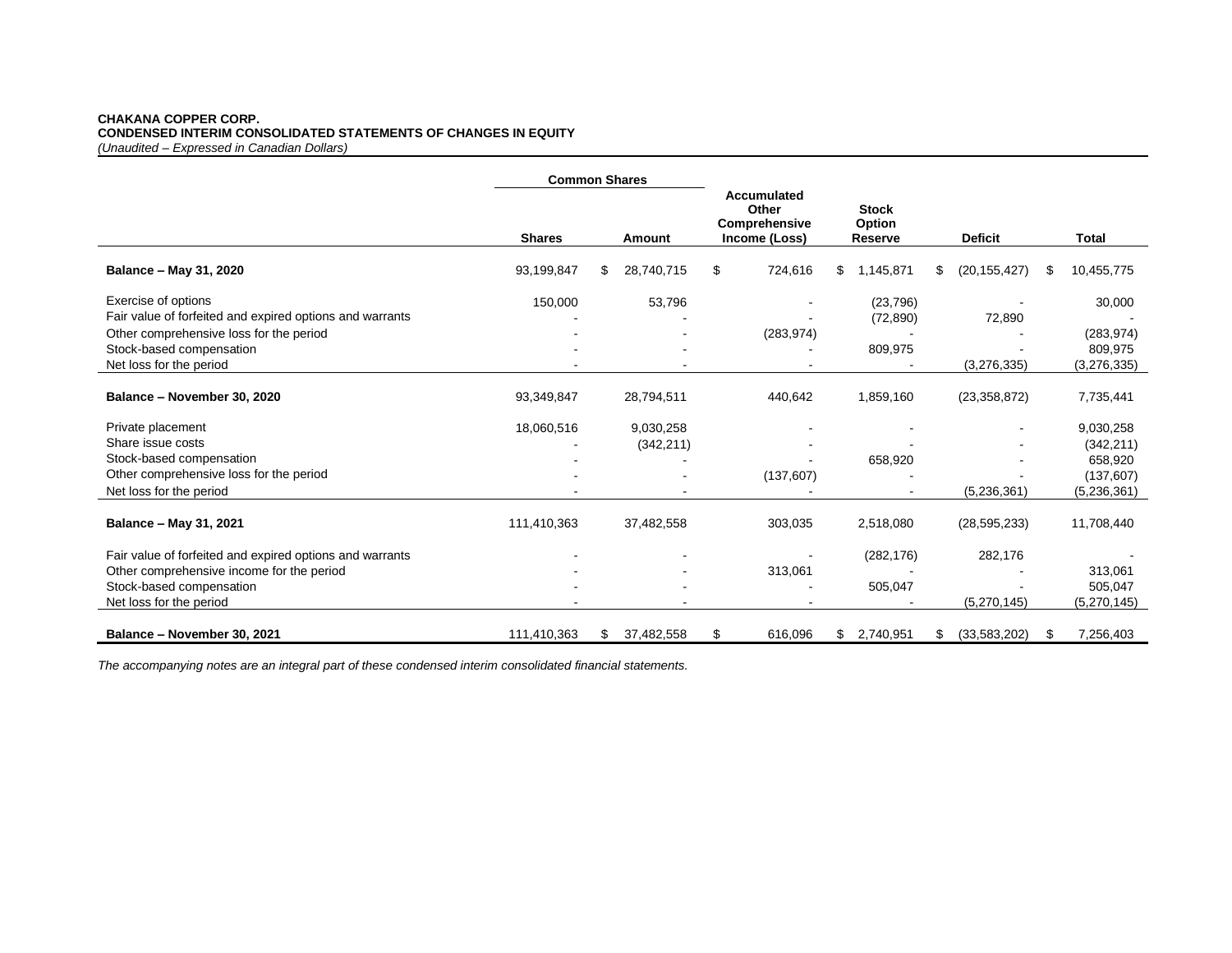#### **CHAKANA COPPER CORP. CONDENSED INTERIM CONSOLIDATED STATEMENTS OF CHANGES IN EQUITY** *(Unaudited – Expressed in Canadian Dollars)*

|                                                          | <b>Common Shares</b> |     |            |    |                                                        |    |                                   |     |                |     |               |
|----------------------------------------------------------|----------------------|-----|------------|----|--------------------------------------------------------|----|-----------------------------------|-----|----------------|-----|---------------|
|                                                          | <b>Shares</b>        |     | Amount     |    | Accumulated<br>Other<br>Comprehensive<br>Income (Loss) |    | <b>Stock</b><br>Option<br>Reserve |     | <b>Deficit</b> |     | <b>Total</b>  |
| Balance - May 31, 2020                                   | 93,199,847           | \$. | 28,740,715 | \$ | 724,616                                                | \$ | 1,145,871                         | \$. | (20, 155, 427) | \$. | 10,455,775    |
| Exercise of options                                      | 150,000              |     | 53,796     |    |                                                        |    | (23, 796)                         |     |                |     | 30,000        |
| Fair value of forfeited and expired options and warrants |                      |     |            |    |                                                        |    | (72, 890)                         |     | 72,890         |     |               |
| Other comprehensive loss for the period                  |                      |     |            |    | (283, 974)                                             |    |                                   |     |                |     | (283, 974)    |
| Stock-based compensation                                 |                      |     |            |    |                                                        |    | 809,975                           |     |                |     | 809,975       |
| Net loss for the period                                  |                      |     |            |    |                                                        |    |                                   |     | (3, 276, 335)  |     | (3, 276, 335) |
| Balance - November 30, 2020                              | 93,349,847           |     | 28,794,511 |    | 440,642                                                |    | 1,859,160                         |     | (23, 358, 872) |     | 7,735,441     |
| Private placement                                        | 18,060,516           |     | 9,030,258  |    |                                                        |    |                                   |     |                |     | 9,030,258     |
| Share issue costs                                        |                      |     | (342, 211) |    |                                                        |    |                                   |     |                |     | (342, 211)    |
| Stock-based compensation                                 |                      |     |            |    |                                                        |    | 658,920                           |     |                |     | 658,920       |
| Other comprehensive loss for the period                  |                      |     |            |    | (137, 607)                                             |    |                                   |     |                |     | (137, 607)    |
| Net loss for the period                                  |                      |     |            |    |                                                        |    |                                   |     | (5,236,361)    |     | (5,236,361)   |
| Balance - May 31, 2021                                   | 111,410,363          |     | 37,482,558 |    | 303,035                                                |    | 2,518,080                         |     | (28, 595, 233) |     | 11,708,440    |
| Fair value of forfeited and expired options and warrants |                      |     |            |    |                                                        |    | (282, 176)                        |     | 282,176        |     |               |
| Other comprehensive income for the period                |                      |     |            |    | 313,061                                                |    |                                   |     |                |     | 313,061       |
| Stock-based compensation                                 |                      |     |            |    |                                                        |    | 505,047                           |     |                |     | 505,047       |
| Net loss for the period                                  |                      |     |            |    |                                                        |    |                                   |     | (5,270,145)    |     | (5,270,145)   |
| Balance - November 30, 2021                              | 111,410,363          | \$  | 37,482,558 | \$ | 616,096                                                | \$ | 2,740,951                         | S.  | (33,583,202)   | \$. | 7,256,403     |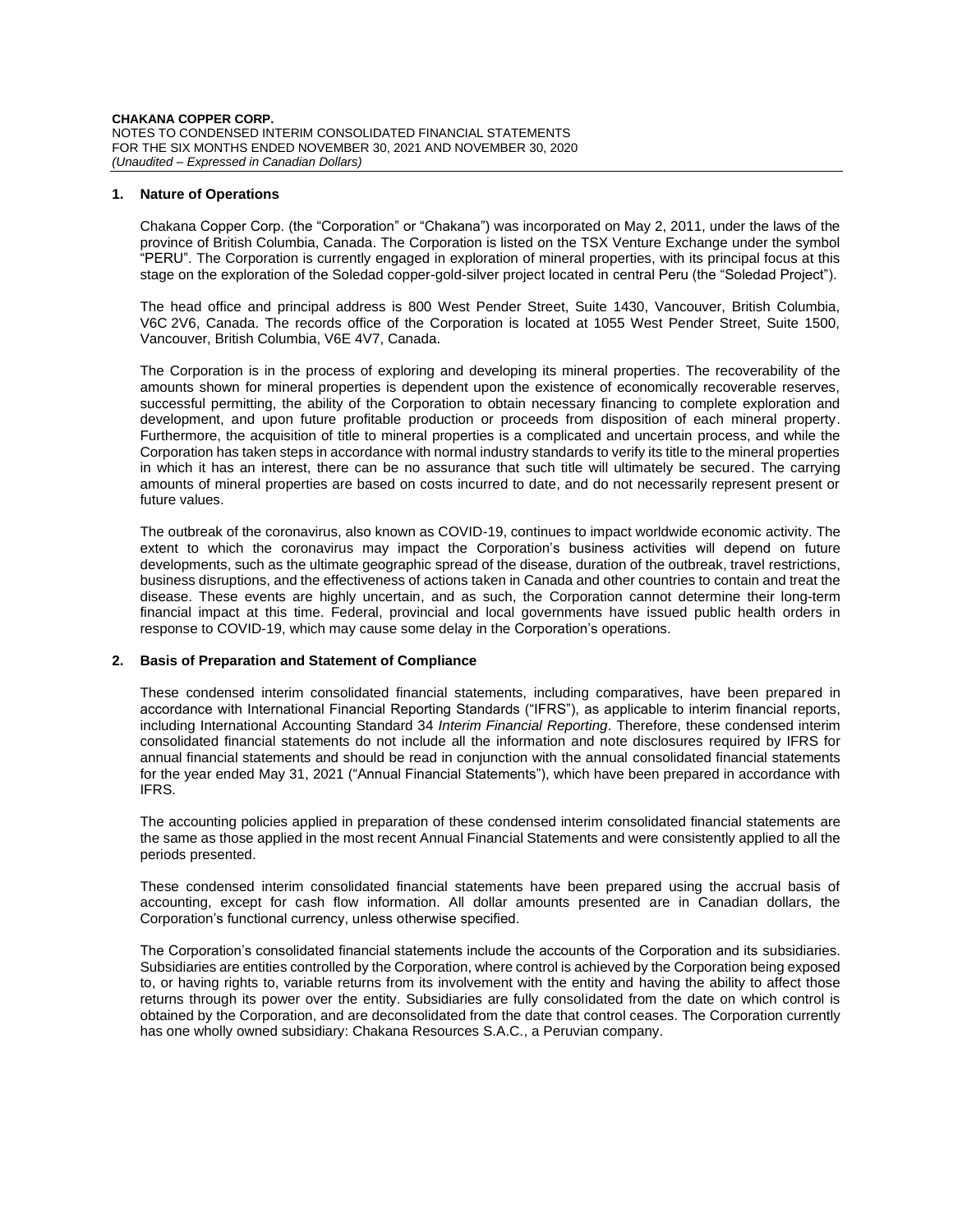## **1. Nature of Operations**

Chakana Copper Corp. (the "Corporation" or "Chakana") was incorporated on May 2, 2011, under the laws of the province of British Columbia, Canada. The Corporation is listed on the TSX Venture Exchange under the symbol "PERU". The Corporation is currently engaged in exploration of mineral properties, with its principal focus at this stage on the exploration of the Soledad copper-gold-silver project located in central Peru (the "Soledad Project").

The head office and principal address is 800 West Pender Street, Suite 1430, Vancouver, British Columbia, V6C 2V6, Canada. The records office of the Corporation is located at 1055 West Pender Street, Suite 1500, Vancouver, British Columbia, V6E 4V7, Canada.

The Corporation is in the process of exploring and developing its mineral properties. The recoverability of the amounts shown for mineral properties is dependent upon the existence of economically recoverable reserves, successful permitting, the ability of the Corporation to obtain necessary financing to complete exploration and development, and upon future profitable production or proceeds from disposition of each mineral property. Furthermore, the acquisition of title to mineral properties is a complicated and uncertain process, and while the Corporation has taken steps in accordance with normal industry standards to verify its title to the mineral properties in which it has an interest, there can be no assurance that such title will ultimately be secured. The carrying amounts of mineral properties are based on costs incurred to date, and do not necessarily represent present or future values.

The outbreak of the coronavirus, also known as COVID-19, continues to impact worldwide economic activity. The extent to which the coronavirus may impact the Corporation's business activities will depend on future developments, such as the ultimate geographic spread of the disease, duration of the outbreak, travel restrictions, business disruptions, and the effectiveness of actions taken in Canada and other countries to contain and treat the disease. These events are highly uncertain, and as such, the Corporation cannot determine their long-term financial impact at this time. Federal, provincial and local governments have issued public health orders in response to COVID-19, which may cause some delay in the Corporation's operations.

## **2. Basis of Preparation and Statement of Compliance**

These condensed interim consolidated financial statements, including comparatives, have been prepared in accordance with International Financial Reporting Standards ("IFRS"), as applicable to interim financial reports, including International Accounting Standard 34 *Interim Financial Reporting*. Therefore, these condensed interim consolidated financial statements do not include all the information and note disclosures required by IFRS for annual financial statements and should be read in conjunction with the annual consolidated financial statements for the year ended May 31, 2021 ("Annual Financial Statements"), which have been prepared in accordance with IFRS.

The accounting policies applied in preparation of these condensed interim consolidated financial statements are the same as those applied in the most recent Annual Financial Statements and were consistently applied to all the periods presented.

These condensed interim consolidated financial statements have been prepared using the accrual basis of accounting, except for cash flow information. All dollar amounts presented are in Canadian dollars, the Corporation's functional currency, unless otherwise specified.

The Corporation's consolidated financial statements include the accounts of the Corporation and its subsidiaries. Subsidiaries are entities controlled by the Corporation, where control is achieved by the Corporation being exposed to, or having rights to, variable returns from its involvement with the entity and having the ability to affect those returns through its power over the entity. Subsidiaries are fully consolidated from the date on which control is obtained by the Corporation, and are deconsolidated from the date that control ceases. The Corporation currently has one wholly owned subsidiary: Chakana Resources S.A.C., a Peruvian company.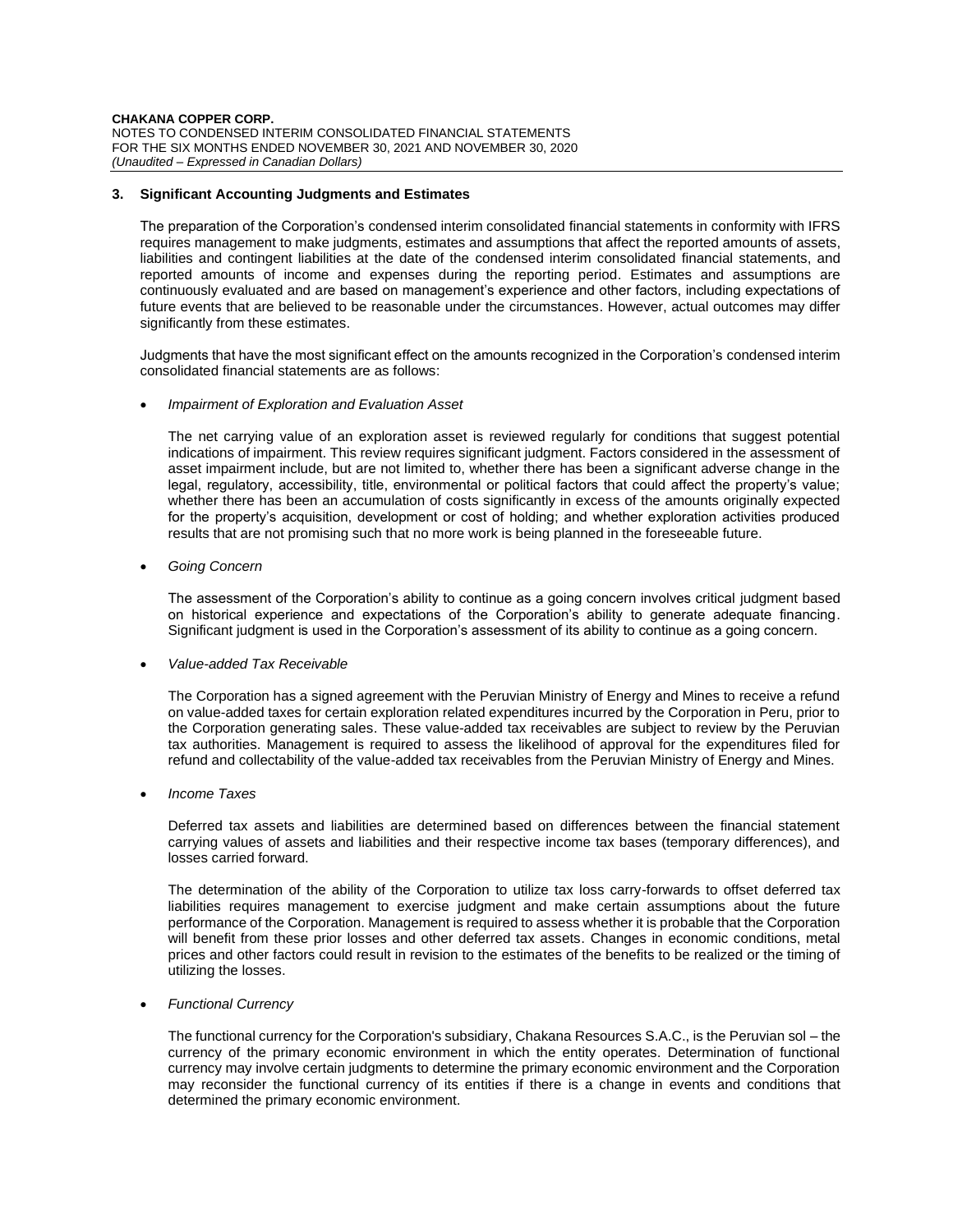**CHAKANA COPPER CORP.** NOTES TO CONDENSED INTERIM CONSOLIDATED FINANCIAL STATEMENTS FOR THE SIX MONTHS ENDED NOVEMBER 30, 2021 AND NOVEMBER 30, 2020 *(Unaudited – Expressed in Canadian Dollars)*

# **3. Significant Accounting Judgments and Estimates**

The preparation of the Corporation's condensed interim consolidated financial statements in conformity with IFRS requires management to make judgments, estimates and assumptions that affect the reported amounts of assets, liabilities and contingent liabilities at the date of the condensed interim consolidated financial statements, and reported amounts of income and expenses during the reporting period. Estimates and assumptions are continuously evaluated and are based on management's experience and other factors, including expectations of future events that are believed to be reasonable under the circumstances. However, actual outcomes may differ significantly from these estimates.

Judgments that have the most significant effect on the amounts recognized in the Corporation's condensed interim consolidated financial statements are as follows:

• *Impairment of Exploration and Evaluation Asset*

The net carrying value of an exploration asset is reviewed regularly for conditions that suggest potential indications of impairment. This review requires significant judgment. Factors considered in the assessment of asset impairment include, but are not limited to, whether there has been a significant adverse change in the legal, regulatory, accessibility, title, environmental or political factors that could affect the property's value; whether there has been an accumulation of costs significantly in excess of the amounts originally expected for the property's acquisition, development or cost of holding; and whether exploration activities produced results that are not promising such that no more work is being planned in the foreseeable future.

• *Going Concern*

The assessment of the Corporation's ability to continue as a going concern involves critical judgment based on historical experience and expectations of the Corporation's ability to generate adequate financing. Significant judgment is used in the Corporation's assessment of its ability to continue as a going concern.

• *Value-added Tax Receivable*

The Corporation has a signed agreement with the Peruvian Ministry of Energy and Mines to receive a refund on value-added taxes for certain exploration related expenditures incurred by the Corporation in Peru, prior to the Corporation generating sales. These value-added tax receivables are subject to review by the Peruvian tax authorities. Management is required to assess the likelihood of approval for the expenditures filed for refund and collectability of the value-added tax receivables from the Peruvian Ministry of Energy and Mines.

• *Income Taxes*

Deferred tax assets and liabilities are determined based on differences between the financial statement carrying values of assets and liabilities and their respective income tax bases (temporary differences), and losses carried forward.

The determination of the ability of the Corporation to utilize tax loss carry-forwards to offset deferred tax liabilities requires management to exercise judgment and make certain assumptions about the future performance of the Corporation. Management is required to assess whether it is probable that the Corporation will benefit from these prior losses and other deferred tax assets. Changes in economic conditions, metal prices and other factors could result in revision to the estimates of the benefits to be realized or the timing of utilizing the losses.

• *Functional Currency*

The functional currency for the Corporation's subsidiary, Chakana Resources S.A.C., is the Peruvian sol – the currency of the primary economic environment in which the entity operates. Determination of functional currency may involve certain judgments to determine the primary economic environment and the Corporation may reconsider the functional currency of its entities if there is a change in events and conditions that determined the primary economic environment.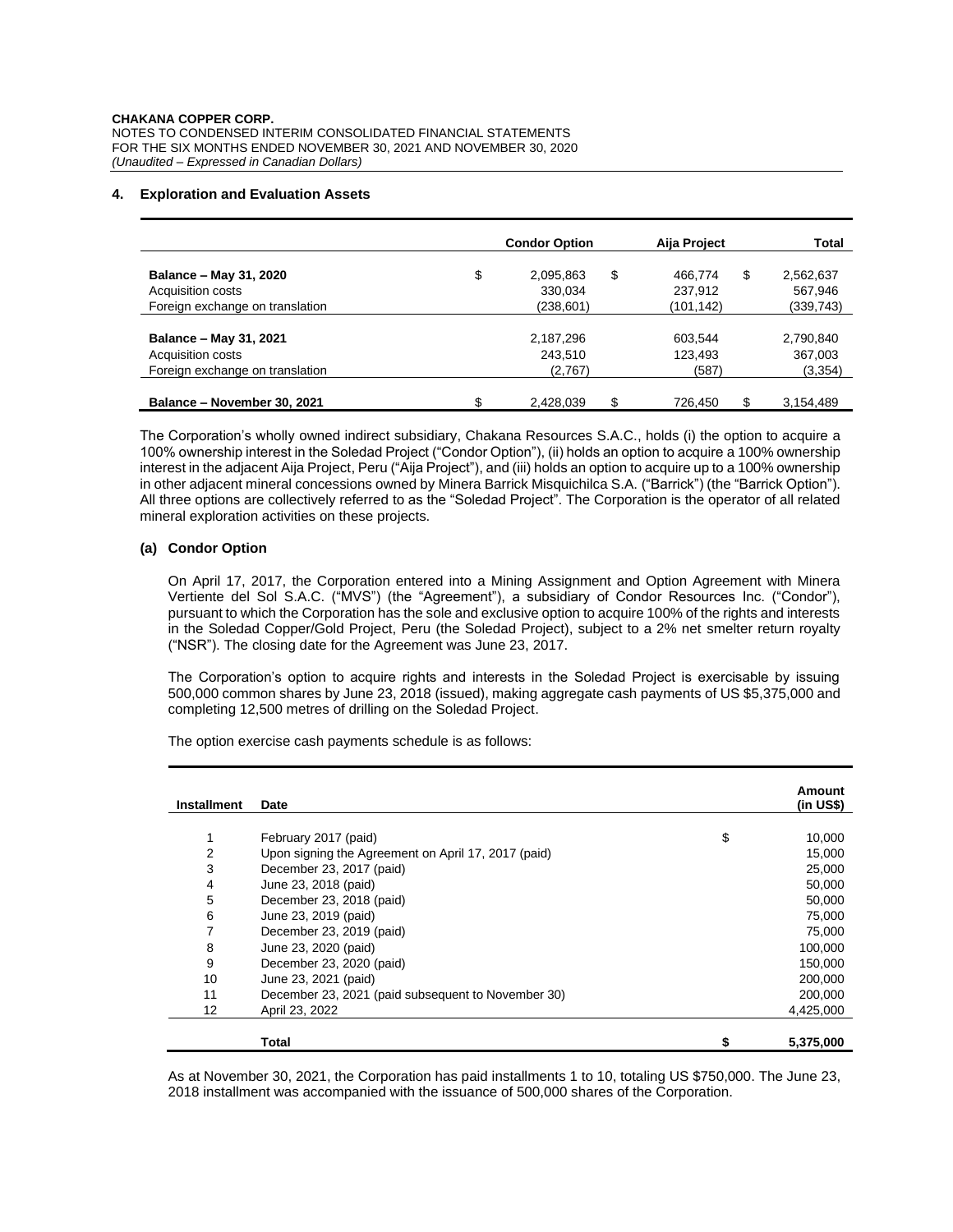## **4. Exploration and Evaluation Assets**

|                                 |    | <b>Condor Option</b> | Aija Project  | <b>Total</b> |  |
|---------------------------------|----|----------------------|---------------|--------------|--|
| Balance - May 31, 2020          | \$ | \$<br>2,095,863      | \$<br>466.774 | 2,562,637    |  |
| Acquisition costs               |    | 330,034              | 237,912       | 567,946      |  |
| Foreign exchange on translation |    | (238, 601)           | (101, 142)    | (339,743)    |  |
|                                 |    |                      |               |              |  |
| Balance - May 31, 2021          |    | 2,187,296            | 603.544       | 2,790,840    |  |
| Acquisition costs               |    | 243,510              | 123,493       | 367,003      |  |
| Foreign exchange on translation |    | (2,767)              | (587)         | (3, 354)     |  |
|                                 |    |                      |               |              |  |
| Balance - November 30, 2021     | ጦ  | \$<br>2,428,039      | \$<br>726.450 | 3,154,489    |  |

The Corporation's wholly owned indirect subsidiary, Chakana Resources S.A.C., holds (i) the option to acquire a 100% ownership interest in the Soledad Project ("Condor Option"), (ii) holds an option to acquire a 100% ownership interest in the adjacent Aija Project, Peru ("Aija Project"), and (iii) holds an option to acquire up to a 100% ownership in other adjacent mineral concessions owned by Minera Barrick Misquichilca S.A. ("Barrick") (the "Barrick Option"). All three options are collectively referred to as the "Soledad Project". The Corporation is the operator of all related mineral exploration activities on these projects.

# **(a) Condor Option**

On April 17, 2017, the Corporation entered into a Mining Assignment and Option Agreement with Minera Vertiente del Sol S.A.C. ("MVS") (the "Agreement"), a subsidiary of Condor Resources Inc. ("Condor"), pursuant to which the Corporation has the sole and exclusive option to acquire 100% of the rights and interests in the Soledad Copper/Gold Project, Peru (the Soledad Project), subject to a 2% net smelter return royalty ("NSR"). The closing date for the Agreement was June 23, 2017.

The Corporation's option to acquire rights and interests in the Soledad Project is exercisable by issuing 500,000 common shares by June 23, 2018 (issued), making aggregate cash payments of US \$5,375,000 and completing 12,500 metres of drilling on the Soledad Project.

| <b>Installment</b> | Date                                                | Amount<br>(in US\$) |
|--------------------|-----------------------------------------------------|---------------------|
|                    |                                                     |                     |
| 1                  | February 2017 (paid)                                | \$<br>10,000        |
| 2                  | Upon signing the Agreement on April 17, 2017 (paid) | 15,000              |
| 3                  | December 23, 2017 (paid)                            | 25,000              |
| 4                  | June 23, 2018 (paid)                                | 50,000              |
| 5                  | December 23, 2018 (paid)                            | 50,000              |
| 6                  | June 23, 2019 (paid)                                | 75,000              |
| 7                  | December 23, 2019 (paid)                            | 75,000              |
| 8                  | June 23, 2020 (paid)                                | 100,000             |
| 9                  | December 23, 2020 (paid)                            | 150,000             |
| 10                 | June 23, 2021 (paid)                                | 200,000             |
| 11                 | December 23, 2021 (paid subsequent to November 30)  | 200,000             |
| 12                 | April 23, 2022                                      | 4,425,000           |
|                    |                                                     |                     |
|                    | Total                                               | 5,375,000           |

The option exercise cash payments schedule is as follows:

As at November 30, 2021, the Corporation has paid installments 1 to 10, totaling US \$750,000. The June 23, 2018 installment was accompanied with the issuance of 500,000 shares of the Corporation.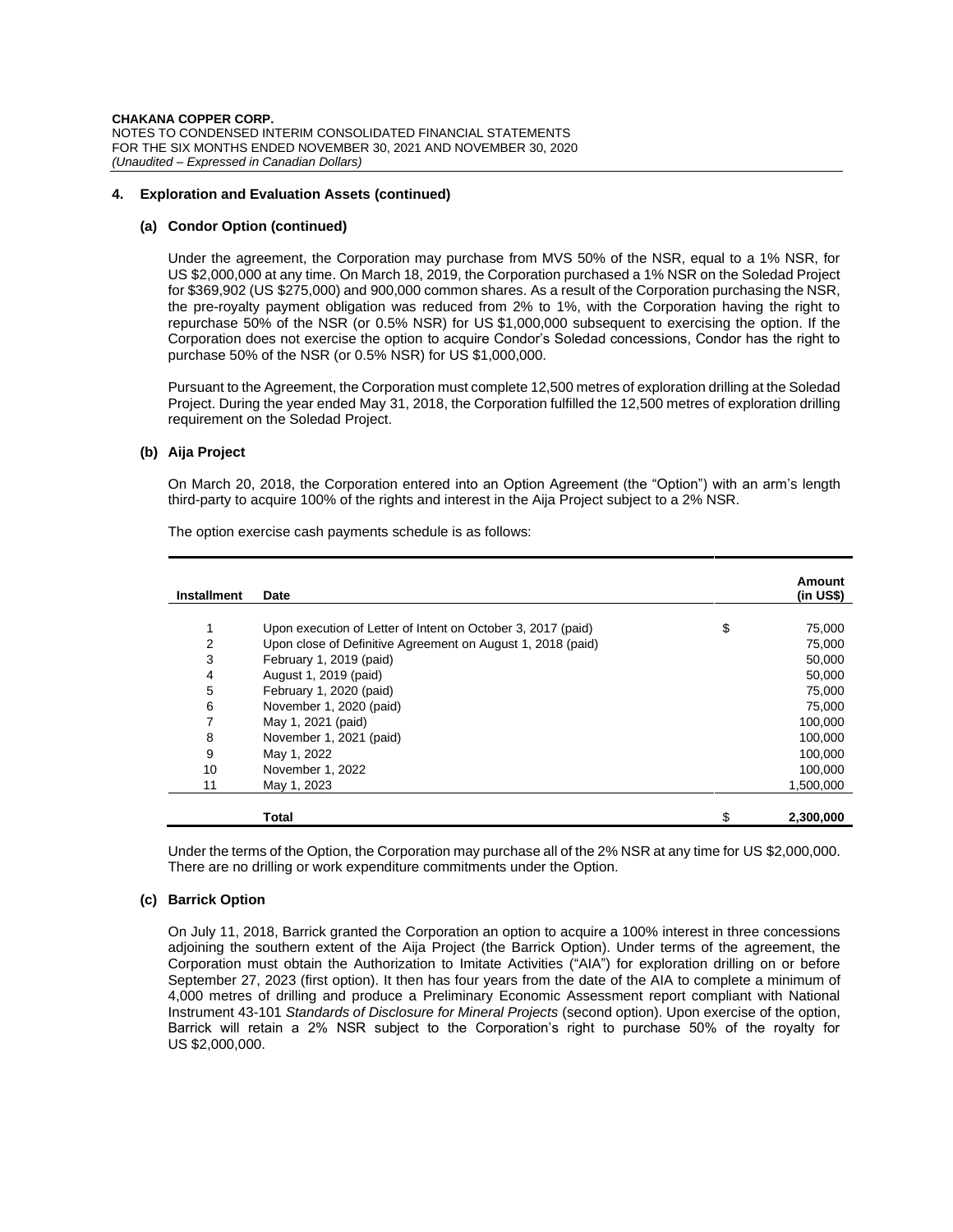### **4. Exploration and Evaluation Assets (continued)**

### **(a) Condor Option (continued)**

Under the agreement, the Corporation may purchase from MVS 50% of the NSR, equal to a 1% NSR, for US \$2,000,000 at any time. On March 18, 2019, the Corporation purchased a 1% NSR on the Soledad Project for \$369,902 (US \$275,000) and 900,000 common shares. As a result of the Corporation purchasing the NSR, the pre-royalty payment obligation was reduced from 2% to 1%, with the Corporation having the right to repurchase 50% of the NSR (or 0.5% NSR) for US \$1,000,000 subsequent to exercising the option. If the Corporation does not exercise the option to acquire Condor's Soledad concessions, Condor has the right to purchase 50% of the NSR (or 0.5% NSR) for US \$1,000,000.

Pursuant to the Agreement, the Corporation must complete 12,500 metres of exploration drilling at the Soledad Project. During the year ended May 31, 2018, the Corporation fulfilled the 12,500 metres of exploration drilling requirement on the Soledad Project.

## **(b) Aija Project**

On March 20, 2018, the Corporation entered into an Option Agreement (the "Option") with an arm's length third-party to acquire 100% of the rights and interest in the Aija Project subject to a 2% NSR.

| <b>Installment</b> | Date                                                         | Amount<br>$(in US\)$ |
|--------------------|--------------------------------------------------------------|----------------------|
|                    |                                                              |                      |
| 1                  | Upon execution of Letter of Intent on October 3, 2017 (paid) | \$<br>75,000         |
| 2                  | Upon close of Definitive Agreement on August 1, 2018 (paid)  | 75,000               |
| 3                  | February 1, 2019 (paid)                                      | 50,000               |
| 4                  | August 1, 2019 (paid)                                        | 50,000               |
| 5                  | February 1, 2020 (paid)                                      | 75,000               |
| 6                  | November 1, 2020 (paid)                                      | 75,000               |
| 7                  | May 1, 2021 (paid)                                           | 100,000              |
| 8                  | November 1, 2021 (paid)                                      | 100,000              |
| 9                  | May 1, 2022                                                  | 100,000              |
| 10                 | November 1, 2022                                             | 100,000              |
| 11                 | May 1, 2023                                                  | 1.500.000            |
|                    | <b>Total</b>                                                 | 2,300,000            |

The option exercise cash payments schedule is as follows:

Under the terms of the Option, the Corporation may purchase all of the 2% NSR at any time for US \$2,000,000. There are no drilling or work expenditure commitments under the Option.

# **(c) Barrick Option**

On July 11, 2018, Barrick granted the Corporation an option to acquire a 100% interest in three concessions adjoining the southern extent of the Aija Project (the Barrick Option). Under terms of the agreement, the Corporation must obtain the Authorization to Imitate Activities ("AIA") for exploration drilling on or before September 27, 2023 (first option). It then has four years from the date of the AIA to complete a minimum of 4,000 metres of drilling and produce a Preliminary Economic Assessment report compliant with National Instrument 43-101 *Standards of Disclosure for Mineral Projects* (second option). Upon exercise of the option, Barrick will retain a 2% NSR subject to the Corporation's right to purchase 50% of the royalty for US \$2,000,000.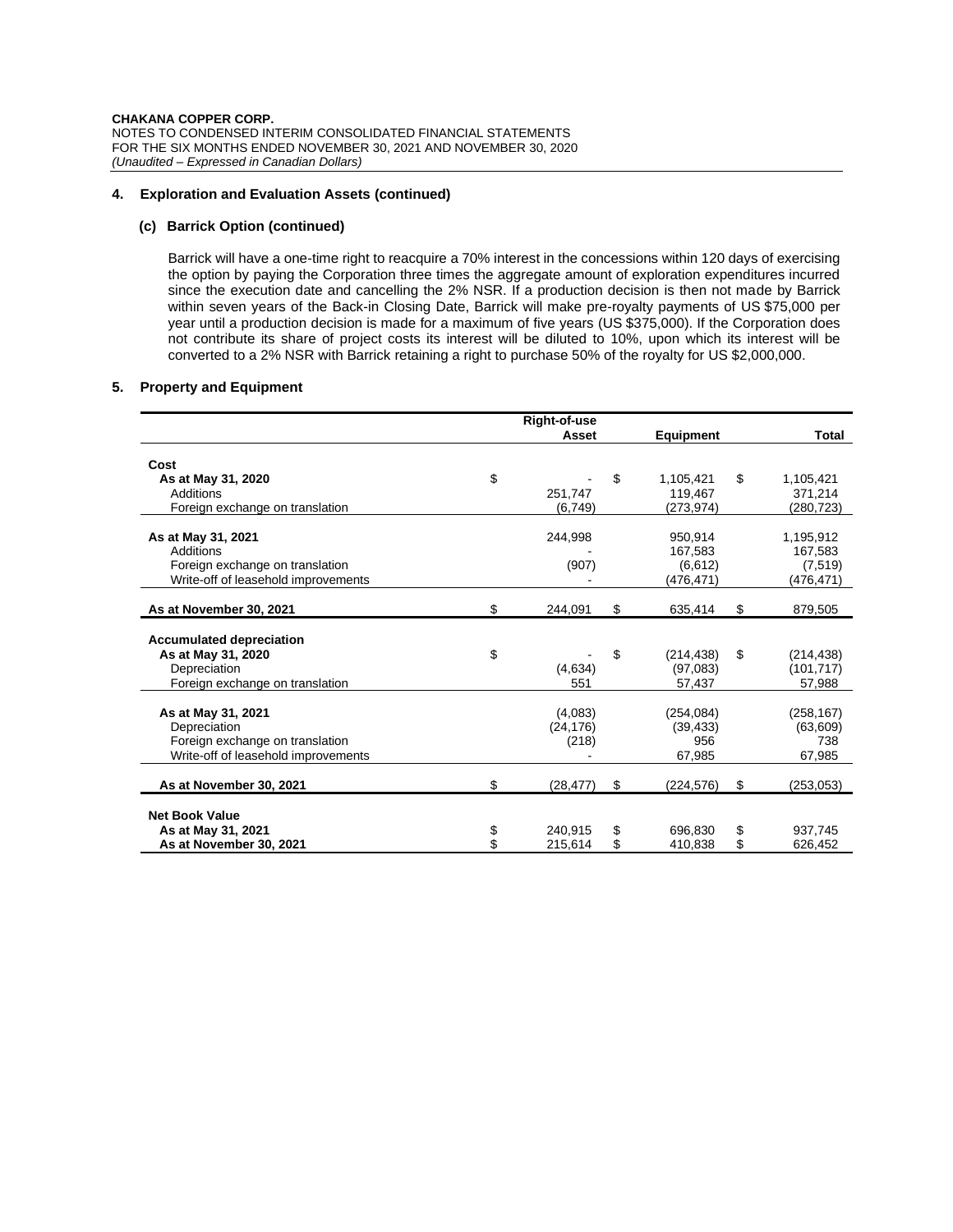## **4. Exploration and Evaluation Assets (continued)**

## **(c) Barrick Option (continued)**

Barrick will have a one-time right to reacquire a 70% interest in the concessions within 120 days of exercising the option by paying the Corporation three times the aggregate amount of exploration expenditures incurred since the execution date and cancelling the 2% NSR. If a production decision is then not made by Barrick within seven years of the Back-in Closing Date, Barrick will make pre-royalty payments of US \$75,000 per year until a production decision is made for a maximum of five years (US \$375,000). If the Corporation does not contribute its share of project costs its interest will be diluted to 10%, upon which its interest will be converted to a 2% NSR with Barrick retaining a right to purchase 50% of the royalty for US \$2,000,000.

# **5. Property and Equipment**

|                                     | Right-of-use    |                  |                  |
|-------------------------------------|-----------------|------------------|------------------|
|                                     | Asset           | Equipment        | Total            |
| Cost                                |                 |                  |                  |
| As at May 31, 2020                  | \$              | \$<br>1,105,421  | \$<br>1,105,421  |
| Additions                           | 251.747         | 119.467          | 371,214          |
| Foreign exchange on translation     | (6, 749)        | (273, 974)       | (280, 723)       |
| As at May 31, 2021                  | 244,998         | 950.914          | 1,195,912        |
| Additions                           |                 | 167,583          | 167,583          |
| Foreign exchange on translation     | (907)           | (6,612)          | (7,519)          |
| Write-off of leasehold improvements |                 | (476,471)        | (476,471)        |
|                                     |                 |                  |                  |
| As at November 30, 2021             | \$<br>244.091   | \$<br>635,414    | \$<br>879,505    |
|                                     |                 |                  |                  |
| <b>Accumulated depreciation</b>     |                 |                  |                  |
| As at May 31, 2020                  | \$              | \$<br>(214, 438) | \$<br>(214, 438) |
| Depreciation                        | (4,634)         | (97,083)         | (101, 717)       |
| Foreign exchange on translation     | 551             | 57,437           | 57,988           |
| As at May 31, 2021                  | (4,083)         | (254, 084)       | (258, 167)       |
| Depreciation                        | (24, 176)       | (39, 433)        | (63, 609)        |
| Foreign exchange on translation     | (218)           | 956              | 738              |
| Write-off of leasehold improvements |                 | 67,985           | 67,985           |
|                                     |                 |                  |                  |
| As at November 30, 2021             | \$<br>(28, 477) | \$<br>(224, 576) | \$<br>(253, 053) |
| <b>Net Book Value</b>               |                 |                  |                  |
| As at May 31, 2021                  | \$<br>240,915   | \$<br>696.830    | \$<br>937,745    |
| As at November 30, 2021             | \$<br>215,614   | \$<br>410,838    | \$<br>626,452    |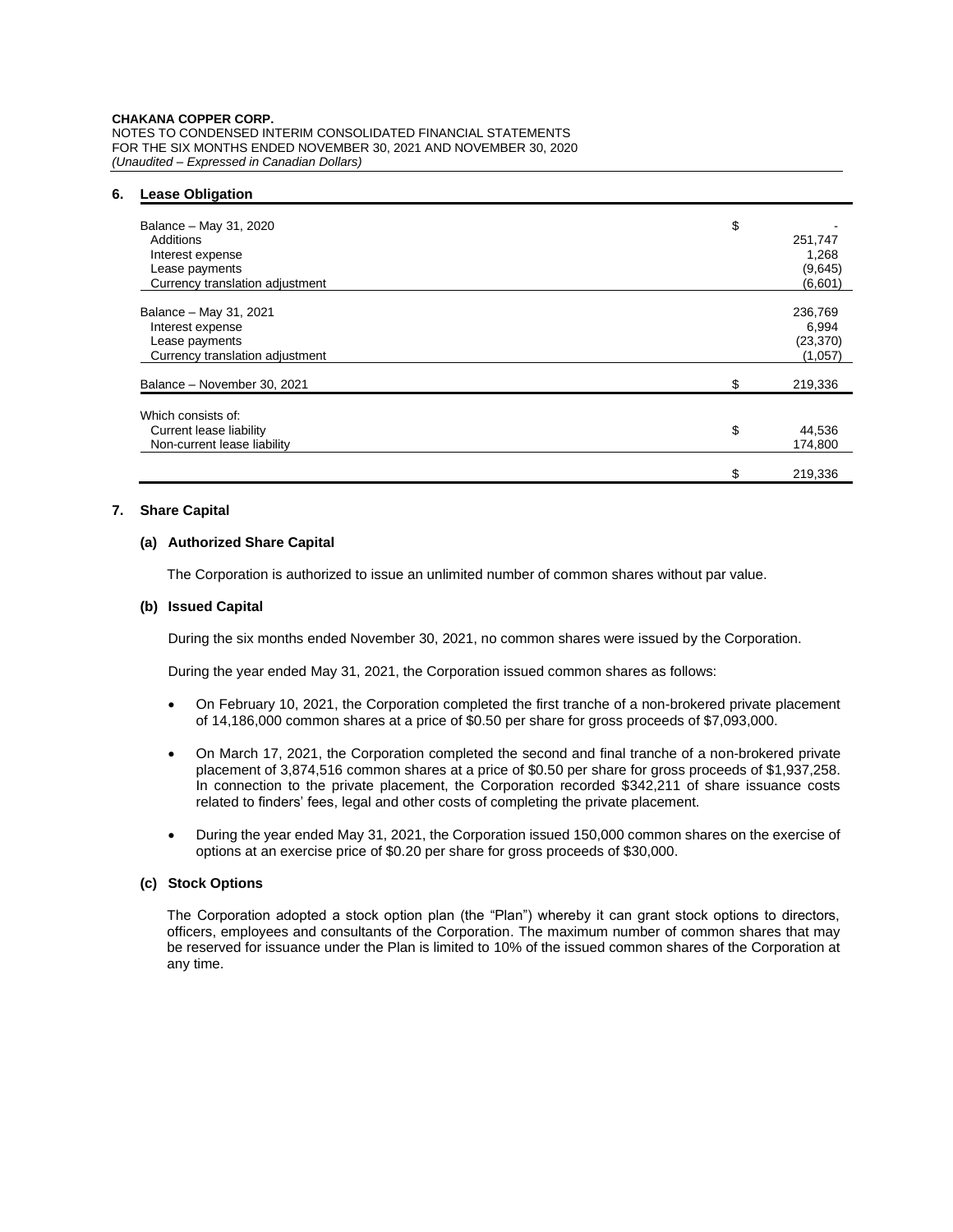#### **CHAKANA COPPER CORP.**

NOTES TO CONDENSED INTERIM CONSOLIDATED FINANCIAL STATEMENTS FOR THE SIX MONTHS ENDED NOVEMBER 30, 2021 AND NOVEMBER 30, 2020 *(Unaudited – Expressed in Canadian Dollars)*

#### **6. Lease Obligation**

| Balance - May 31, 2020<br>Additions<br>Interest expense<br>Lease payments<br>Currency translation adjustment | \$<br>251,747<br>1,268<br>(9,645)<br>(6,601) |
|--------------------------------------------------------------------------------------------------------------|----------------------------------------------|
| Balance - May 31, 2021<br>Interest expense<br>Lease payments<br>Currency translation adjustment              | 236,769<br>6,994<br>(23, 370)<br>(1,057)     |
| Balance - November 30, 2021                                                                                  | \$<br>219,336                                |
| Which consists of:<br>Current lease liability<br>Non-current lease liability                                 | \$<br>44,536<br>174,800                      |
|                                                                                                              | \$<br>219.336                                |

# **7. Share Capital**

# **(a) Authorized Share Capital**

The Corporation is authorized to issue an unlimited number of common shares without par value.

# **(b) Issued Capital**

During the six months ended November 30, 2021, no common shares were issued by the Corporation.

During the year ended May 31, 2021, the Corporation issued common shares as follows:

- On February 10, 2021, the Corporation completed the first tranche of a non-brokered private placement of 14,186,000 common shares at a price of \$0.50 per share for gross proceeds of \$7,093,000.
- On March 17, 2021, the Corporation completed the second and final tranche of a non-brokered private placement of 3,874,516 common shares at a price of \$0.50 per share for gross proceeds of \$1,937,258. In connection to the private placement, the Corporation recorded \$342,211 of share issuance costs related to finders' fees, legal and other costs of completing the private placement.
- During the year ended May 31, 2021, the Corporation issued 150,000 common shares on the exercise of options at an exercise price of \$0.20 per share for gross proceeds of \$30,000.

# **(c) Stock Options**

The Corporation adopted a stock option plan (the "Plan") whereby it can grant stock options to directors, officers, employees and consultants of the Corporation. The maximum number of common shares that may be reserved for issuance under the Plan is limited to 10% of the issued common shares of the Corporation at any time.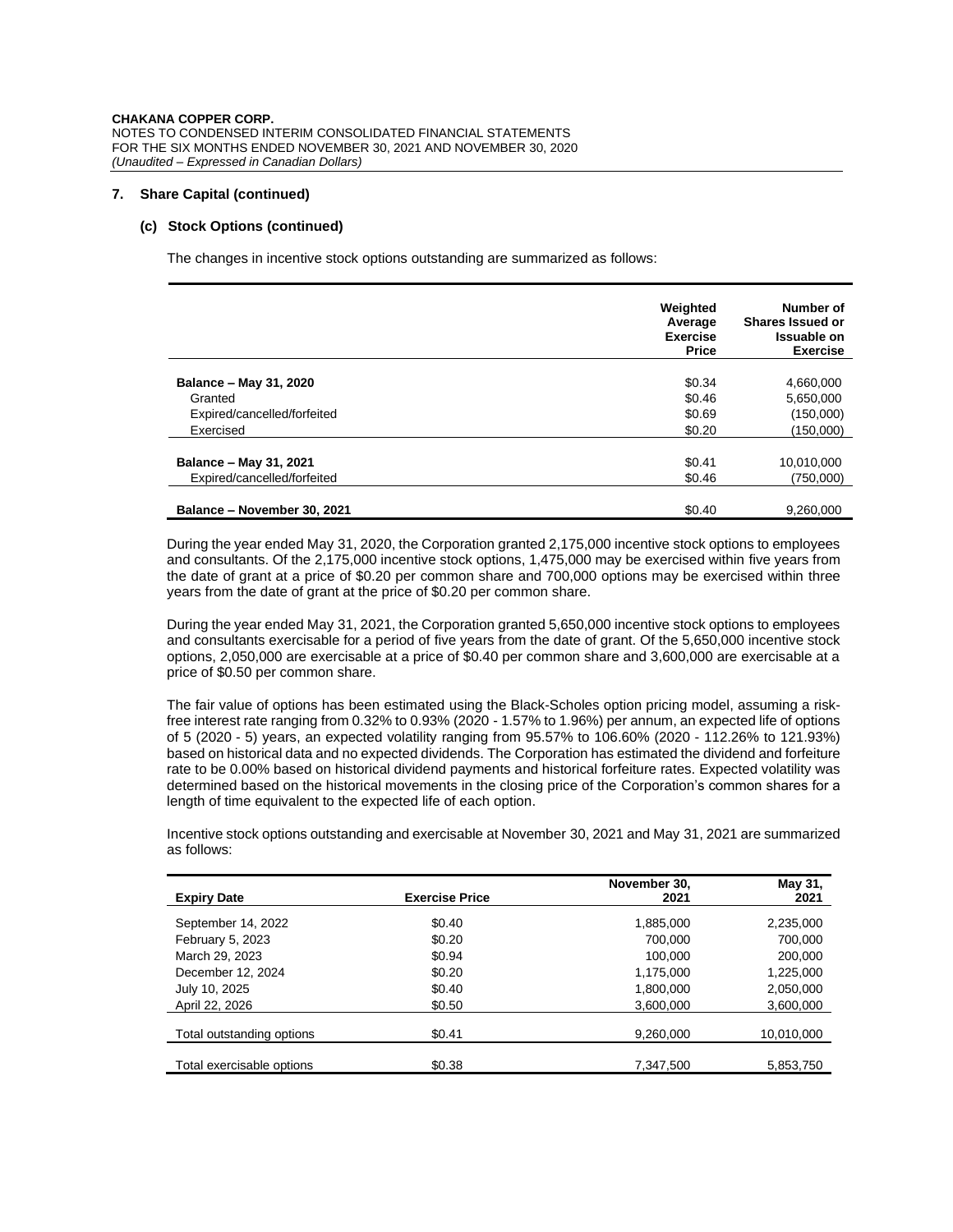# **7. Share Capital (continued)**

# **(c) Stock Options (continued)**

The changes in incentive stock options outstanding are summarized as follows:

|                             | Weighted<br>Average<br><b>Exercise</b><br><b>Price</b> | Number of<br><b>Shares Issued or</b><br><b>Issuable on</b><br><b>Exercise</b> |
|-----------------------------|--------------------------------------------------------|-------------------------------------------------------------------------------|
|                             |                                                        |                                                                               |
| Balance - May 31, 2020      | \$0.34                                                 | 4,660,000                                                                     |
| Granted                     | \$0.46                                                 | 5,650,000                                                                     |
| Expired/cancelled/forfeited | \$0.69                                                 | (150,000)                                                                     |
| Exercised                   | \$0.20                                                 | (150,000)                                                                     |
|                             |                                                        |                                                                               |
| Balance - May 31, 2021      | \$0.41                                                 | 10,010,000                                                                    |
| Expired/cancelled/forfeited | \$0.46                                                 | (750.000)                                                                     |
|                             |                                                        |                                                                               |
| Balance - November 30, 2021 | \$0.40                                                 | 9,260,000                                                                     |

During the year ended May 31, 2020, the Corporation granted 2,175,000 incentive stock options to employees and consultants. Of the 2,175,000 incentive stock options, 1,475,000 may be exercised within five years from the date of grant at a price of \$0.20 per common share and 700,000 options may be exercised within three years from the date of grant at the price of \$0.20 per common share.

During the year ended May 31, 2021, the Corporation granted 5,650,000 incentive stock options to employees and consultants exercisable for a period of five years from the date of grant. Of the 5,650,000 incentive stock options, 2,050,000 are exercisable at a price of \$0.40 per common share and 3,600,000 are exercisable at a price of \$0.50 per common share.

The fair value of options has been estimated using the Black-Scholes option pricing model, assuming a riskfree interest rate ranging from 0.32% to 0.93% (2020 - 1.57% to 1.96%) per annum, an expected life of options of 5 (2020 - 5) years, an expected volatility ranging from 95.57% to 106.60% (2020 - 112.26% to 121.93%) based on historical data and no expected dividends. The Corporation has estimated the dividend and forfeiture rate to be 0.00% based on historical dividend payments and historical forfeiture rates. Expected volatility was determined based on the historical movements in the closing price of the Corporation's common shares for a length of time equivalent to the expected life of each option.

Incentive stock options outstanding and exercisable at November 30, 2021 and May 31, 2021 are summarized as follows:

| <b>Expiry Date</b>        | <b>Exercise Price</b> | November 30,<br>2021 | May 31,<br>2021 |
|---------------------------|-----------------------|----------------------|-----------------|
| September 14, 2022        | \$0.40                | 1,885,000            | 2,235,000       |
| February 5, 2023          | \$0.20                | 700,000              | 700,000         |
| March 29, 2023            | \$0.94                | 100.000              | 200,000         |
| December 12, 2024         | \$0.20                | 1,175,000            | 1,225,000       |
| July 10, 2025             | \$0.40                | 1,800,000            | 2,050,000       |
| April 22, 2026            | \$0.50                | 3.600.000            | 3,600,000       |
| Total outstanding options | \$0.41                | 9,260,000            | 10,010,000      |
| Total exercisable options | \$0.38                | 7.347.500            | 5,853,750       |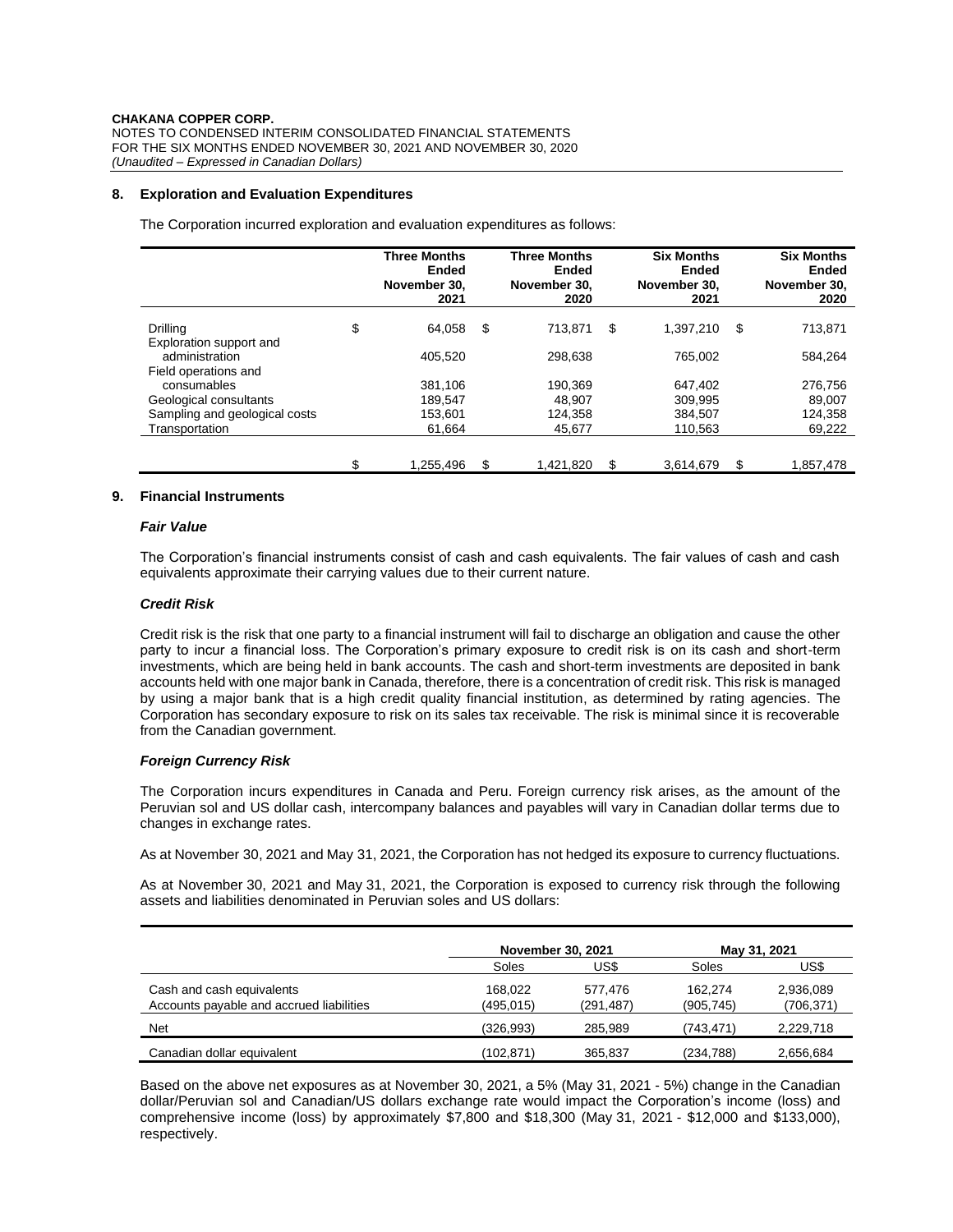## **8. Exploration and Evaluation Expenditures**

The Corporation incurred exploration and evaluation expenditures as follows:

|                                            | <b>Three Months</b><br><b>Ended</b><br>November 30,<br>2021 | <b>Three Months</b><br><b>Ended</b><br>November 30,<br>2020 | <b>Six Months</b><br>Ended<br>November 30.<br>2021 |    | <b>Six Months</b><br>Ended<br>November 30,<br>2020 |
|--------------------------------------------|-------------------------------------------------------------|-------------------------------------------------------------|----------------------------------------------------|----|----------------------------------------------------|
| <b>Drilling</b><br>Exploration support and | \$<br>64.058                                                | \$<br>713.871                                               | \$<br>1,397,210                                    | \$ | 713,871                                            |
| administration<br>Field operations and     | 405.520                                                     | 298.638                                                     | 765.002                                            |    | 584,264                                            |
| consumables                                | 381.106                                                     | 190.369                                                     | 647,402                                            |    | 276.756                                            |
| Geological consultants                     | 189.547                                                     | 48.907                                                      | 309,995                                            |    | 89.007                                             |
| Sampling and geological costs              | 153,601                                                     | 124.358                                                     | 384,507                                            |    | 124,358                                            |
| Transportation                             | 61,664                                                      | 45,677                                                      | 110,563                                            |    | 69,222                                             |
|                                            |                                                             |                                                             |                                                    |    |                                                    |
|                                            | \$<br>1.255.496                                             | \$<br>1.421.820                                             | \$<br>3.614.679                                    | S  | 1.857.478                                          |

## **9. Financial Instruments**

#### *Fair Value*

The Corporation's financial instruments consist of cash and cash equivalents. The fair values of cash and cash equivalents approximate their carrying values due to their current nature.

#### *Credit Risk*

Credit risk is the risk that one party to a financial instrument will fail to discharge an obligation and cause the other party to incur a financial loss. The Corporation's primary exposure to credit risk is on its cash and short-term investments, which are being held in bank accounts. The cash and short-term investments are deposited in bank accounts held with one major bank in Canada, therefore, there is a concentration of credit risk. This risk is managed by using a major bank that is a high credit quality financial institution, as determined by rating agencies. The Corporation has secondary exposure to risk on its sales tax receivable. The risk is minimal since it is recoverable from the Canadian government.

## *Foreign Currency Risk*

The Corporation incurs expenditures in Canada and Peru. Foreign currency risk arises, as the amount of the Peruvian sol and US dollar cash, intercompany balances and payables will vary in Canadian dollar terms due to changes in exchange rates.

As at November 30, 2021 and May 31, 2021, the Corporation has not hedged its exposure to currency fluctuations.

As at November 30, 2021 and May 31, 2021, the Corporation is exposed to currency risk through the following assets and liabilities denominated in Peruvian soles and US dollars:

|                                                                       | <b>November 30, 2021</b> |                       |                       | May 31, 2021            |
|-----------------------------------------------------------------------|--------------------------|-----------------------|-----------------------|-------------------------|
|                                                                       | Soles                    | US\$                  | Soles                 | US\$                    |
| Cash and cash equivalents<br>Accounts payable and accrued liabilities | 168.022<br>(495,015)     | 577.476<br>(291, 487) | 162.274<br>(905, 745) | 2,936,089<br>(706, 371) |
| <b>Net</b>                                                            | (326, 993)               | 285.989               | (743,471)             | 2,229,718               |
| Canadian dollar equivalent                                            | (102,871)                | 365.837               | (234,788)             | 2,656,684               |

Based on the above net exposures as at November 30, 2021, a 5% (May 31, 2021 - 5%) change in the Canadian dollar/Peruvian sol and Canadian/US dollars exchange rate would impact the Corporation's income (loss) and comprehensive income (loss) by approximately \$7,800 and \$18,300 (May 31, 2021 - \$12,000 and \$133,000), respectively.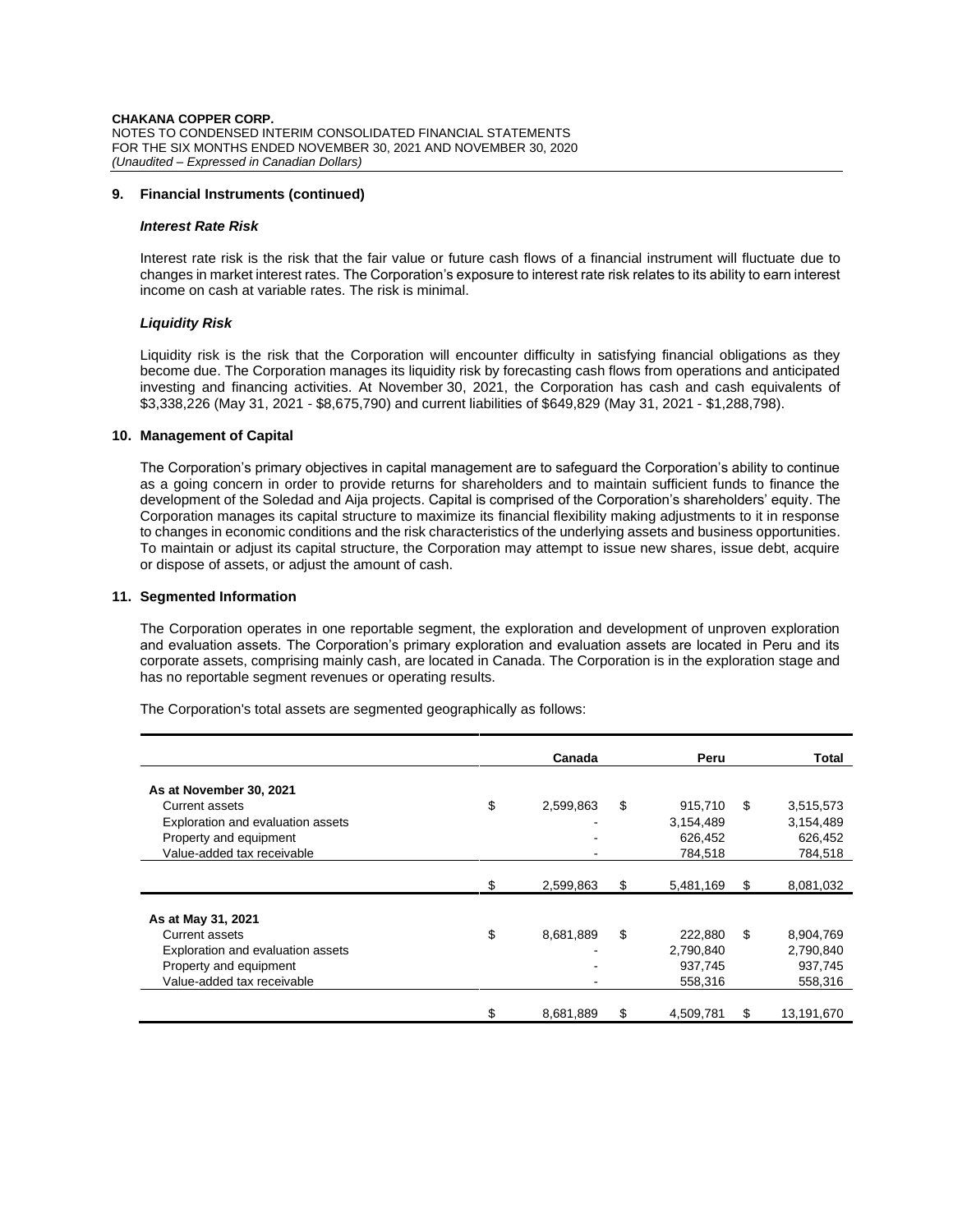**CHAKANA COPPER CORP.** NOTES TO CONDENSED INTERIM CONSOLIDATED FINANCIAL STATEMENTS FOR THE SIX MONTHS ENDED NOVEMBER 30, 2021 AND NOVEMBER 30, 2020 *(Unaudited – Expressed in Canadian Dollars)*

#### **9. Financial Instruments (continued)**

### *Interest Rate Risk*

Interest rate risk is the risk that the fair value or future cash flows of a financial instrument will fluctuate due to changes in market interest rates. The Corporation's exposure to interest rate risk relates to its ability to earn interest income on cash at variable rates. The risk is minimal.

## *Liquidity Risk*

Liquidity risk is the risk that the Corporation will encounter difficulty in satisfying financial obligations as they become due. The Corporation manages its liquidity risk by forecasting cash flows from operations and anticipated investing and financing activities. At November 30, 2021, the Corporation has cash and cash equivalents of \$3,338,226 (May 31, 2021 - \$8,675,790) and current liabilities of \$649,829 (May 31, 2021 - \$1,288,798).

# **10. Management of Capital**

The Corporation's primary objectives in capital management are to safeguard the Corporation's ability to continue as a going concern in order to provide returns for shareholders and to maintain sufficient funds to finance the development of the Soledad and Aija projects. Capital is comprised of the Corporation's shareholders' equity. The Corporation manages its capital structure to maximize its financial flexibility making adjustments to it in response to changes in economic conditions and the risk characteristics of the underlying assets and business opportunities. To maintain or adjust its capital structure, the Corporation may attempt to issue new shares, issue debt, acquire or dispose of assets, or adjust the amount of cash.

# **11. Segmented Information**

The Corporation operates in one reportable segment, the exploration and development of unproven exploration and evaluation assets. The Corporation's primary exploration and evaluation assets are located in Peru and its corporate assets, comprising mainly cash, are located in Canada. The Corporation is in the exploration stage and has no reportable segment revenues or operating results.

The Corporation's total assets are segmented geographically as follows:

|                                   | Canada          |    | Peru      |    | <b>Total</b> |  |
|-----------------------------------|-----------------|----|-----------|----|--------------|--|
| As at November 30, 2021           |                 |    |           |    |              |  |
| Current assets                    | \$<br>2,599,863 | \$ | 915,710   | \$ | 3,515,573    |  |
| Exploration and evaluation assets |                 |    | 3,154,489 |    | 3,154,489    |  |
| Property and equipment            |                 |    | 626,452   |    | 626,452      |  |
| Value-added tax receivable        |                 |    | 784,518   |    | 784,518      |  |
|                                   |                 |    |           |    |              |  |
|                                   | \$<br>2,599,863 | \$ | 5,481,169 | \$ | 8,081,032    |  |
|                                   |                 |    |           |    |              |  |
| As at May 31, 2021                |                 |    |           |    |              |  |
| Current assets                    | \$<br>8,681,889 | \$ | 222,880   | \$ | 8,904,769    |  |
| Exploration and evaluation assets |                 |    | 2,790,840 |    | 2,790,840    |  |
| Property and equipment            |                 |    | 937,745   |    | 937,745      |  |
| Value-added tax receivable        |                 |    | 558.316   |    | 558.316      |  |
|                                   |                 |    |           |    |              |  |
|                                   | \$<br>8,681,889 | \$ | 4,509,781 | S  | 13,191,670   |  |